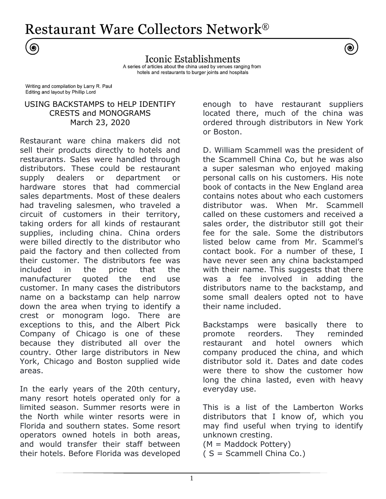**Restaurant Ware Collectors Network®** 

Iconic Establishments A series of articles about the china used by venues ranging from hotels and restaurants to burger joints and hospitals

Writing and compilation by Larry R. Paul Editing and layout by Phillip Lord

◉

# USING BACKSTAMPS to HELP IDENTIFY CRESTS and MONOGRAMS March 23, 2020

Restaurant ware china makers did not sell their products directly to hotels and restaurants. Sales were handled through distributors. These could be restaurant supply dealers or department or hardware stores that had commercial sales departments. Most of these dealers had traveling salesmen, who traveled a circuit of customers in their territory, taking orders for all kinds of restaurant supplies, including china. China orders were billed directly to the distributor who paid the factory and then collected from their customer. The distributors fee was included in the price that the manufacturer quoted the end use customer. In many cases the distributors name on a backstamp can help narrow down the area when trying to identify a crest or monogram logo. There are exceptions to this, and the Albert Pick Company of Chicago is one of these because they distributed all over the country. Other large distributors in New York, Chicago and Boston supplied wide areas.

In the early years of the 20th century, many resort hotels operated only for a limited season. Summer resorts were in the North while winter resorts were in Florida and southern states. Some resort operators owned hotels in both areas, and would transfer their staff between their hotels. Before Florida was developed enough to have restaurant suppliers located there, much of the china was ordered through distributors in New York or Boston.

D. William Scammell was the president of the Scammell China Co, but he was also a super salesman who enjoyed making personal calls on his customers. His note book of contacts in the New England area contains notes about who each customers distributor was. When Mr. Scammell called on these customers and received a sales order, the distributor still got their fee for the sale. Some the distributors listed below came from Mr. Scammel's contact book. For a number of these, I have never seen any china backstamped with their name. This suggests that there was a fee involved in adding the distributors name to the backstamp, and some small dealers opted not to have their name included.

Backstamps were basically there to promote reorders. They reminded restaurant and hotel owners which company produced the china, and which distributor sold it. Dates and date codes were there to show the customer how long the china lasted, even with heavy everyday use.

This is a list of the Lamberton Works distributors that I know of, which you may find useful when trying to identify unknown cresting.

(M = Maddock Pottery)

( S = Scammell China Co.)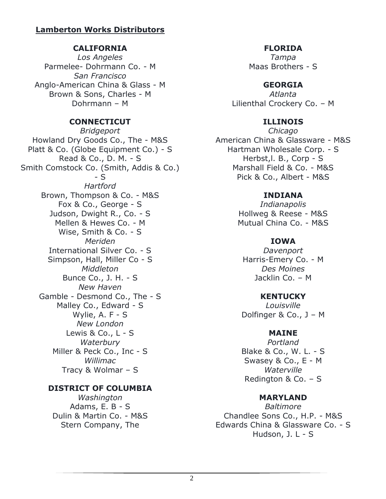# **Lamberton Works Distributors**

# **CALIFORNIA**

*Los Angeles* Parmelee- Dohrmann Co. - M *San Francisco* Anglo-American China & Glass - M Brown & Sons, Charles - M Dohrmann – M

# **CONNECTICUT**

*Bridgeport* Howland Dry Goods Co., The - M&S Platt & Co. (Globe Equipment Co.) - S Read & Co., D. M. - S Smith Comstock Co. (Smith, Addis & Co.) - S *Hartford* Brown, Thompson & Co. - M&S Fox & Co., George - S Judson, Dwight R., Co. - S Mellen & Hewes Co. - M Wise, Smith & Co. - S *Meriden* International Silver Co. - S Simpson, Hall, Miller Co - S *Middleton* Bunce Co., J. H. - S *New Haven* Gamble - Desmond Co., The - S Malley Co., Edward - S Wylie, A. F - S *New London* Lewis & Co., L - S *Waterbury* Miller & Peck Co., Inc - S *Willimac* Tracy & Wolmar – S

# **DISTRICT OF COLUMBIA**

*Washington* Adams, E. B - S Dulin & Martin Co. - M&S Stern Company, The

## **FLORIDA**

*Tampa* Maas Brothers - S

# **GEORGIA**

*Atlanta* Lilienthal Crockery Co. – M

# **ILLINOIS**

*Chicago* American China & Glassware - M&S Hartman Wholesale Corp. - S Herbst,l. B., Corp - S Marshall Field & Co. - M&S Pick & Co., Albert - M&S

# **INDIANA**

*Indianapolis* Hollweg & Reese - M&S Mutual China Co. - M&S

# **IOWA**

*Davenport* Harris-Emery Co. - M *Des Moines* Jacklin Co. – M

## **KENTUCKY**

*Louisville* Dolfinger & Co., J – M

# **MAINE**

*Portland* Blake & Co., W. L. - S Swasey & Co., E - M *Waterville* Redington & Co. – S

## **MARYLAND**

*Baltimore* Chandlee Sons Co., H.P. - M&S Edwards China & Glassware Co. - S Hudson, J. L - S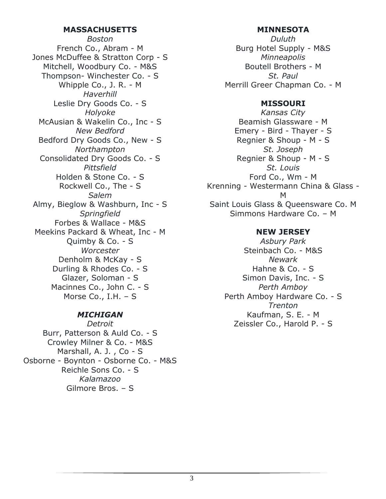### **MASSACHUSETTS**

*Boston* French Co., Abram - M Jones McDuffee & Stratton Corp - S Mitchell, Woodbury Co. - M&S Thompson- Winchester Co. - S Whipple Co., J. R. - M *Haverhill* Leslie Dry Goods Co. - S *Holyoke* McAusian & Wakelin Co., Inc - S *New Bedford* Bedford Dry Goods Co., New - S *Northampton* Consolidated Dry Goods Co. - S *Pittsfield* Holden & Stone Co. - S Rockwell Co., The - S *Salem* Almy, Bieglow & Washburn, Inc - S *Springfield* Forbes & Wallace - M&S Meekins Packard & Wheat, Inc - M Quimby & Co. - S *Worcester* Denholm & McKay - S Durling & Rhodes Co. - S Glazer, Soloman - S Macinnes Co., John C. - S Morse Co., I.H. – S

## *MICHIGAN*

*Detroit* Burr, Patterson & Auld Co. - S Crowley Milner & Co. - M&S Marshall, A. J. , Co - S Osborne - Boynton - Osborne Co. - M&S Reichle Sons Co. - S *Kalamazoo* Gilmore Bros. – S

### **MINNESOTA**

*Duluth* Burg Hotel Supply - M&S *Minneapolis* Boutell Brothers - M *St. Paul* Merrill Greer Chapman Co. - M

#### **MISSOURI**

*Kansas City* Beamish Glassware - M Emery - Bird - Thayer - S Regnier & Shoup - M - S *St. Joseph* Regnier & Shoup - M - S *St. Louis* Ford Co., Wm - M Krenning - Westermann China & Glass - M Saint Louis Glass & Queensware Co. M Simmons Hardware Co. – M

## **NEW JERSEY**

*Asbury Park* Steinbach Co. - M&S *Newark* Hahne & Co. - S Simon Davis, Inc. - S *Perth Amboy* Perth Amboy Hardware Co. - S *Trenton* Kaufman, S. E. - M Zeissler Co., Harold P. - S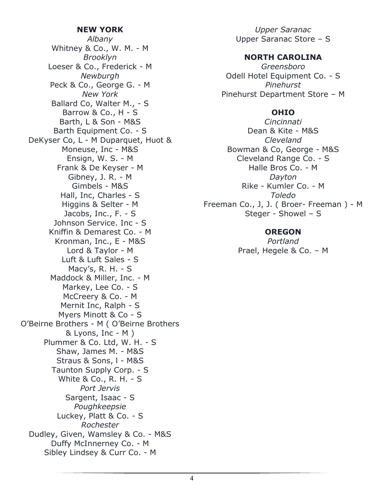#### **NEW YORK**

*Albany* Whitney & Co., W. M. - M *Brooklyn* Loeser & Co., Frederick - M *Newburgh* Peck & Co., George G. - M *New York* Ballard Co, Walter M., - S Barrow & Co., H - S Barth, L & Son - M&S Barth Equipment Co. - S DeKyser Co, L - M Duparquet, Huot & Moneuse, Inc - M&S Ensign, W. S. - M Frank & De Keyser - M Gibney, J. R. - M Gimbels - M&S Hall, Inc, Charles - S Higgins & Selter - M Jacobs, Inc., F. - S Johnson Service. Inc - S Kniffin & Demarest Co. - M Kronman, Inc., E - M&S Lord & Taylor - M Luft & Luft Sales - S Macy's, R. H. - S Maddock & Miller, Inc. - M Markey, Lee Co. - S McCreery & Co. - M Mernit Inc, Ralph - S Myers Minott & Co - S O'Beirne Brothers - M ( O'Beirne Brothers & Lyons, Inc - M ) Plummer & Co. Ltd, W. H. - S Shaw, James M. - M&S Straus & Sons, l - M&S Taunton Supply Corp. - S White & Co., R. H. - S *Port Jervis* Sargent, Isaac - S *Poughkeepsie* Luckey, Platt & Co. - S *Rochester* Dudley, Given, Wamsley & Co. - M&S Duffy McInnerney Co. - M Sibley Lindsey & Curr Co. - M

*Upper Saranac* Upper Saranac Store – S

#### **NORTH CAROLINA**

*Greensboro* Odell Hotel Equipment Co. - S *Pinehurst* Pinehurst Department Store – M

#### **OHIO**

*Cincinnati* Dean & Kite - M&S *Cleveland* Bowman & Co, George - M&S Cleveland Range Co. - S Halle Bros Co. - M *Dayton* Rike - Kumler Co. - M *Toledo* Freeman Co., J, J. ( Broer- Freeman ) - M Steger - Showel – S

### **OREGON**

*Portland* Prael, Hegele & Co. – M